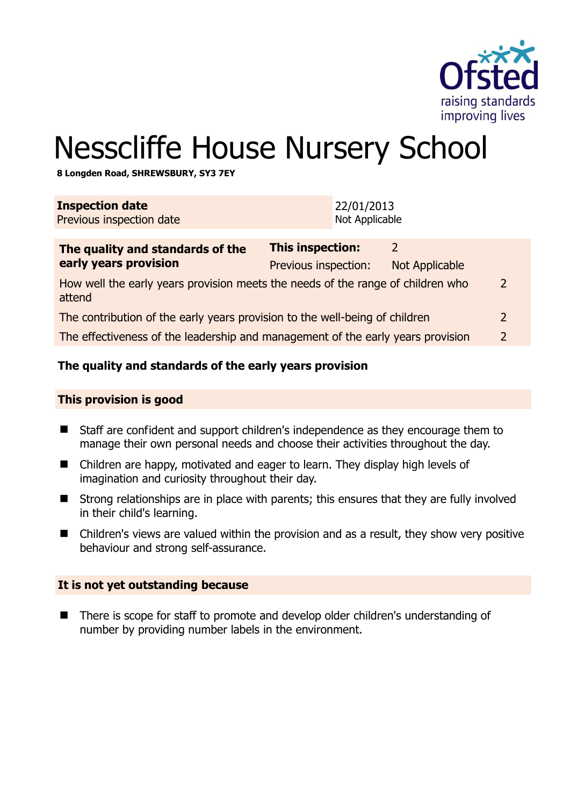

# Nesscliffe House Nursery School

**8 Longden Road, SHREWSBURY, SY3 7EY** 

| <b>Inspection date</b><br>Previous inspection date                                        |                                                 | 22/01/2013<br>Not Applicable |                            |               |
|-------------------------------------------------------------------------------------------|-------------------------------------------------|------------------------------|----------------------------|---------------|
| The quality and standards of the<br>early years provision                                 | <b>This inspection:</b><br>Previous inspection: |                              | 2<br><b>Not Applicable</b> |               |
| How well the early years provision meets the needs of the range of children who<br>attend |                                                 |                              |                            |               |
| The contribution of the early years provision to the well-being of children               |                                                 |                              |                            | $\mathcal{L}$ |
| The effectiveness of the leadership and management of the early years provision           |                                                 |                              |                            | $\mathcal{L}$ |
|                                                                                           |                                                 |                              |                            |               |

#### **The quality and standards of the early years provision**

#### **This provision is good**

- Staff are confident and support children's independence as they encourage them to manage their own personal needs and choose their activities throughout the day.
- Children are happy, motivated and eager to learn. They display high levels of imagination and curiosity throughout their day.
- Strong relationships are in place with parents; this ensures that they are fully involved in their child's learning.
- Children's views are valued within the provision and as a result, they show very positive behaviour and strong self-assurance.

#### **It is not yet outstanding because**

■ There is scope for staff to promote and develop older children's understanding of number by providing number labels in the environment.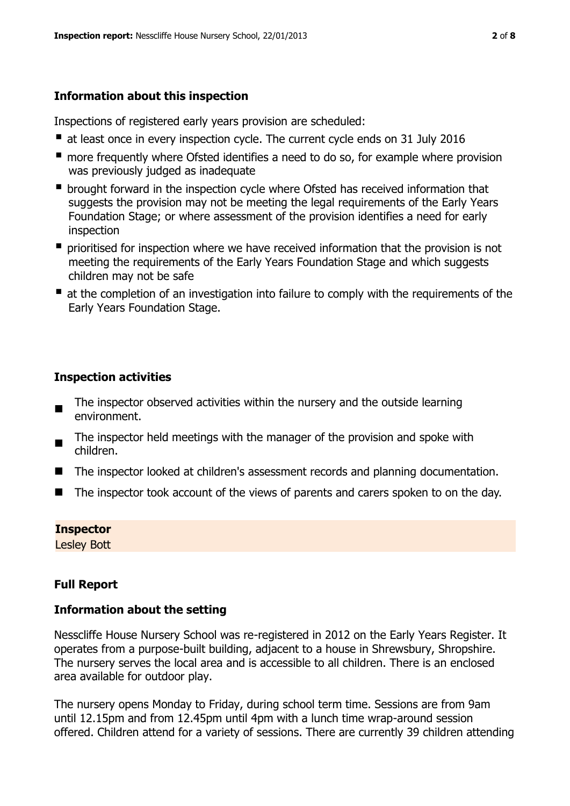# **Information about this inspection**

Inspections of registered early years provision are scheduled:

- at least once in every inspection cycle. The current cycle ends on 31 July 2016
- **n** more frequently where Ofsted identifies a need to do so, for example where provision was previously judged as inadequate
- **•** brought forward in the inspection cycle where Ofsted has received information that suggests the provision may not be meeting the legal requirements of the Early Years Foundation Stage; or where assessment of the provision identifies a need for early inspection
- **P** prioritised for inspection where we have received information that the provision is not meeting the requirements of the Early Years Foundation Stage and which suggests children may not be safe
- at the completion of an investigation into failure to comply with the requirements of the Early Years Foundation Stage.

# **Inspection activities**

- The inspector observed activities within the nursery and the outside learning environment.
- The inspector held meetings with the manager of the provision and spoke with children.
- The inspector looked at children's assessment records and planning documentation.
- The inspector took account of the views of parents and carers spoken to on the day.

## **Inspector**

Lesley Bott

# **Full Report**

## **Information about the setting**

Nesscliffe House Nursery School was re-registered in 2012 on the Early Years Register. It operates from a purpose-built building, adjacent to a house in Shrewsbury, Shropshire. The nursery serves the local area and is accessible to all children. There is an enclosed area available for outdoor play.

The nursery opens Monday to Friday, during school term time. Sessions are from 9am until 12.15pm and from 12.45pm until 4pm with a lunch time wrap-around session offered. Children attend for a variety of sessions. There are currently 39 children attending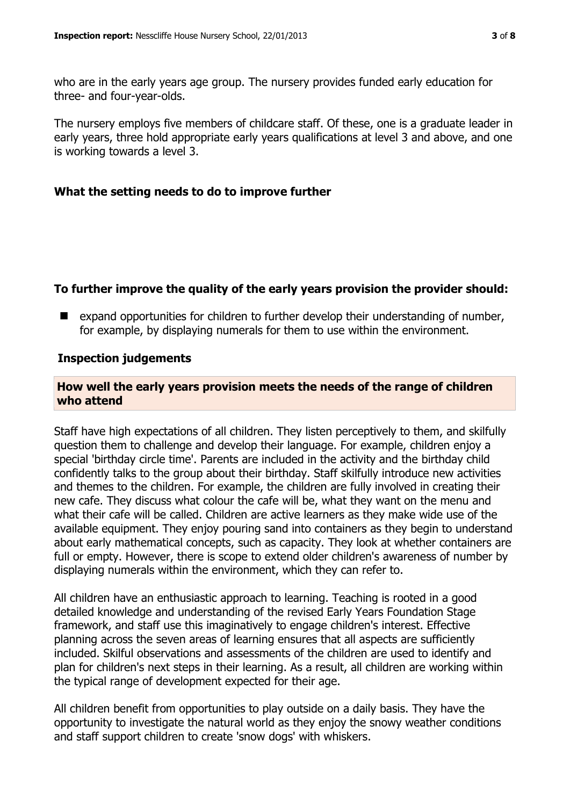who are in the early years age group. The nursery provides funded early education for three- and four-year-olds.

The nursery employs five members of childcare staff. Of these, one is a graduate leader in early years, three hold appropriate early years qualifications at level 3 and above, and one is working towards a level 3.

#### **What the setting needs to do to improve further**

## **To further improve the quality of the early years provision the provider should:**

 $\blacksquare$  expand opportunities for children to further develop their understanding of number, for example, by displaying numerals for them to use within the environment.

#### **Inspection judgements**

#### **How well the early years provision meets the needs of the range of children who attend**

Staff have high expectations of all children. They listen perceptively to them, and skilfully question them to challenge and develop their language. For example, children enjoy a special 'birthday circle time'. Parents are included in the activity and the birthday child confidently talks to the group about their birthday. Staff skilfully introduce new activities and themes to the children. For example, the children are fully involved in creating their new cafe. They discuss what colour the cafe will be, what they want on the menu and what their cafe will be called. Children are active learners as they make wide use of the available equipment. They enjoy pouring sand into containers as they begin to understand about early mathematical concepts, such as capacity. They look at whether containers are full or empty. However, there is scope to extend older children's awareness of number by displaying numerals within the environment, which they can refer to.

All children have an enthusiastic approach to learning. Teaching is rooted in a good detailed knowledge and understanding of the revised Early Years Foundation Stage framework, and staff use this imaginatively to engage children's interest. Effective planning across the seven areas of learning ensures that all aspects are sufficiently included. Skilful observations and assessments of the children are used to identify and plan for children's next steps in their learning. As a result, all children are working within the typical range of development expected for their age.

All children benefit from opportunities to play outside on a daily basis. They have the opportunity to investigate the natural world as they enjoy the snowy weather conditions and staff support children to create 'snow dogs' with whiskers.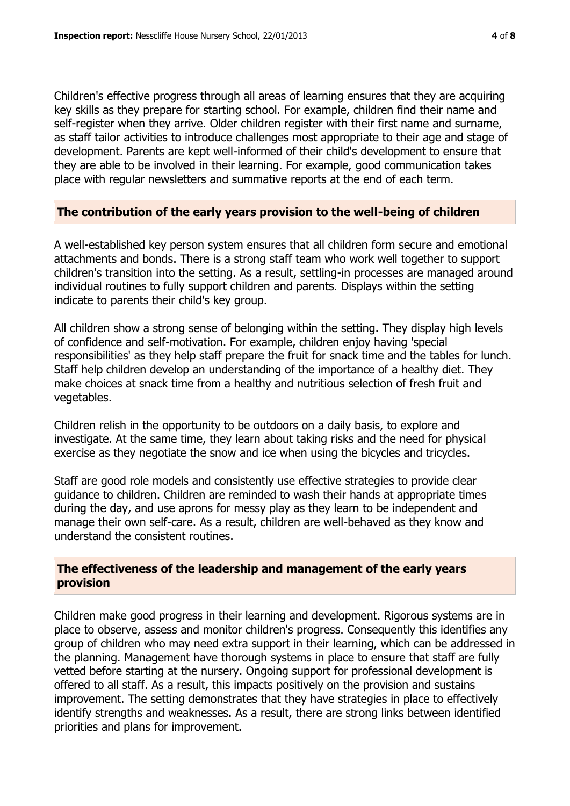Children's effective progress through all areas of learning ensures that they are acquiring key skills as they prepare for starting school. For example, children find their name and self-register when they arrive. Older children register with their first name and surname, as staff tailor activities to introduce challenges most appropriate to their age and stage of development. Parents are kept well-informed of their child's development to ensure that they are able to be involved in their learning. For example, good communication takes place with regular newsletters and summative reports at the end of each term.

#### **The contribution of the early years provision to the well-being of children**

A well-established key person system ensures that all children form secure and emotional attachments and bonds. There is a strong staff team who work well together to support children's transition into the setting. As a result, settling-in processes are managed around individual routines to fully support children and parents. Displays within the setting indicate to parents their child's key group.

All children show a strong sense of belonging within the setting. They display high levels of confidence and self-motivation. For example, children enjoy having 'special responsibilities' as they help staff prepare the fruit for snack time and the tables for lunch. Staff help children develop an understanding of the importance of a healthy diet. They make choices at snack time from a healthy and nutritious selection of fresh fruit and vegetables.

Children relish in the opportunity to be outdoors on a daily basis, to explore and investigate. At the same time, they learn about taking risks and the need for physical exercise as they negotiate the snow and ice when using the bicycles and tricycles.

Staff are good role models and consistently use effective strategies to provide clear guidance to children. Children are reminded to wash their hands at appropriate times during the day, and use aprons for messy play as they learn to be independent and manage their own self-care. As a result, children are well-behaved as they know and understand the consistent routines.

#### **The effectiveness of the leadership and management of the early years provision**

Children make good progress in their learning and development. Rigorous systems are in place to observe, assess and monitor children's progress. Consequently this identifies any group of children who may need extra support in their learning, which can be addressed in the planning. Management have thorough systems in place to ensure that staff are fully vetted before starting at the nursery. Ongoing support for professional development is offered to all staff. As a result, this impacts positively on the provision and sustains improvement. The setting demonstrates that they have strategies in place to effectively identify strengths and weaknesses. As a result, there are strong links between identified priorities and plans for improvement.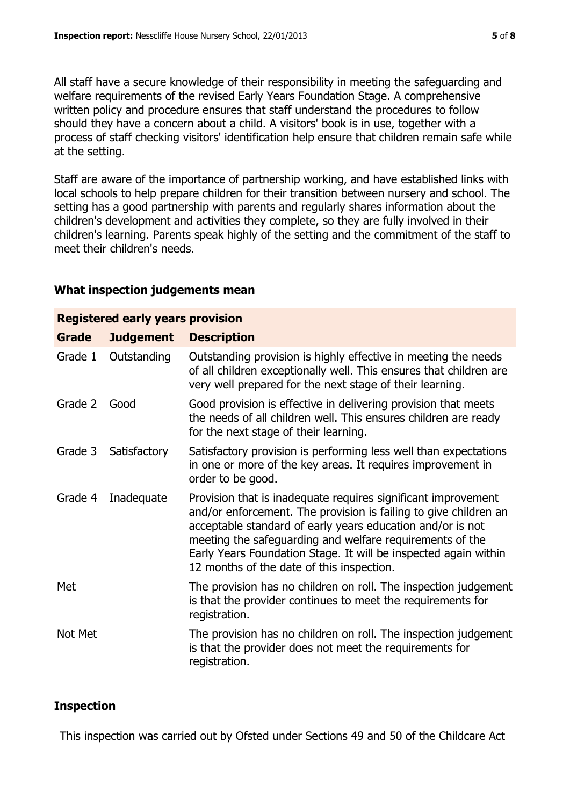All staff have a secure knowledge of their responsibility in meeting the safeguarding and welfare requirements of the revised Early Years Foundation Stage. A comprehensive written policy and procedure ensures that staff understand the procedures to follow should they have a concern about a child. A visitors' book is in use, together with a process of staff checking visitors' identification help ensure that children remain safe while at the setting.

Staff are aware of the importance of partnership working, and have established links with local schools to help prepare children for their transition between nursery and school. The setting has a good partnership with parents and regularly shares information about the children's development and activities they complete, so they are fully involved in their children's learning. Parents speak highly of the setting and the commitment of the staff to meet their children's needs.

#### **What inspection judgements mean**

| <b>Registered early years provision</b> |                  |                                                                                                                                                                                                                                                                                                                                                                             |  |  |  |
|-----------------------------------------|------------------|-----------------------------------------------------------------------------------------------------------------------------------------------------------------------------------------------------------------------------------------------------------------------------------------------------------------------------------------------------------------------------|--|--|--|
| <b>Grade</b>                            | <b>Judgement</b> | <b>Description</b>                                                                                                                                                                                                                                                                                                                                                          |  |  |  |
| Grade 1                                 | Outstanding      | Outstanding provision is highly effective in meeting the needs<br>of all children exceptionally well. This ensures that children are<br>very well prepared for the next stage of their learning.                                                                                                                                                                            |  |  |  |
| Grade 2                                 | Good             | Good provision is effective in delivering provision that meets<br>the needs of all children well. This ensures children are ready<br>for the next stage of their learning.                                                                                                                                                                                                  |  |  |  |
| Grade 3                                 | Satisfactory     | Satisfactory provision is performing less well than expectations<br>in one or more of the key areas. It requires improvement in<br>order to be good.                                                                                                                                                                                                                        |  |  |  |
| Grade 4                                 | Inadequate       | Provision that is inadequate requires significant improvement<br>and/or enforcement. The provision is failing to give children an<br>acceptable standard of early years education and/or is not<br>meeting the safeguarding and welfare requirements of the<br>Early Years Foundation Stage. It will be inspected again within<br>12 months of the date of this inspection. |  |  |  |
| Met                                     |                  | The provision has no children on roll. The inspection judgement<br>is that the provider continues to meet the requirements for<br>registration.                                                                                                                                                                                                                             |  |  |  |
| Not Met                                 |                  | The provision has no children on roll. The inspection judgement<br>is that the provider does not meet the requirements for<br>registration.                                                                                                                                                                                                                                 |  |  |  |

#### **Inspection**

This inspection was carried out by Ofsted under Sections 49 and 50 of the Childcare Act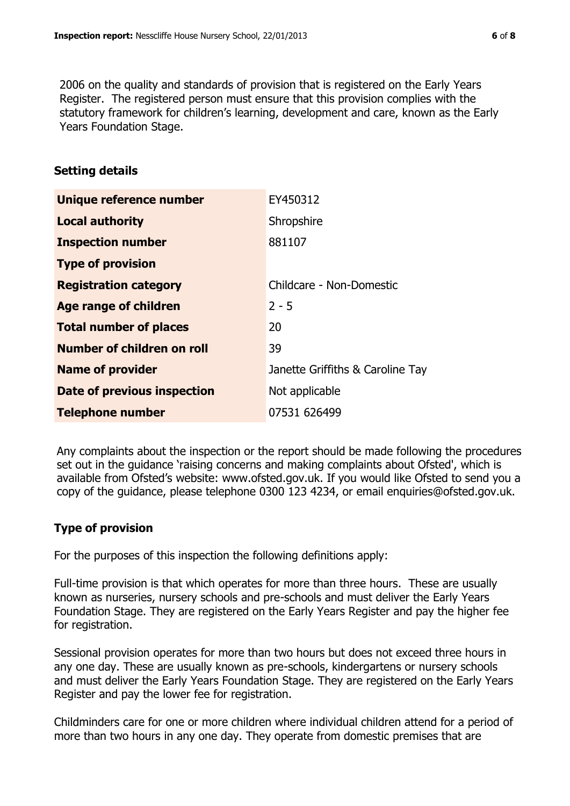2006 on the quality and standards of provision that is registered on the Early Years Register. The registered person must ensure that this provision complies with the statutory framework for children's learning, development and care, known as the Early Years Foundation Stage.

#### **Setting details**

| Unique reference number       | EY450312                         |
|-------------------------------|----------------------------------|
| <b>Local authority</b>        | Shropshire                       |
| <b>Inspection number</b>      | 881107                           |
| <b>Type of provision</b>      |                                  |
| <b>Registration category</b>  | Childcare - Non-Domestic         |
| <b>Age range of children</b>  | $2 - 5$                          |
| <b>Total number of places</b> | 20                               |
| Number of children on roll    | 39                               |
| <b>Name of provider</b>       | Janette Griffiths & Caroline Tay |
| Date of previous inspection   | Not applicable                   |
| <b>Telephone number</b>       | 07531 626499                     |

Any complaints about the inspection or the report should be made following the procedures set out in the guidance 'raising concerns and making complaints about Ofsted', which is available from Ofsted's website: www.ofsted.gov.uk. If you would like Ofsted to send you a copy of the guidance, please telephone 0300 123 4234, or email enquiries@ofsted.gov.uk.

## **Type of provision**

For the purposes of this inspection the following definitions apply:

Full-time provision is that which operates for more than three hours. These are usually known as nurseries, nursery schools and pre-schools and must deliver the Early Years Foundation Stage. They are registered on the Early Years Register and pay the higher fee for registration.

Sessional provision operates for more than two hours but does not exceed three hours in any one day. These are usually known as pre-schools, kindergartens or nursery schools and must deliver the Early Years Foundation Stage. They are registered on the Early Years Register and pay the lower fee for registration.

Childminders care for one or more children where individual children attend for a period of more than two hours in any one day. They operate from domestic premises that are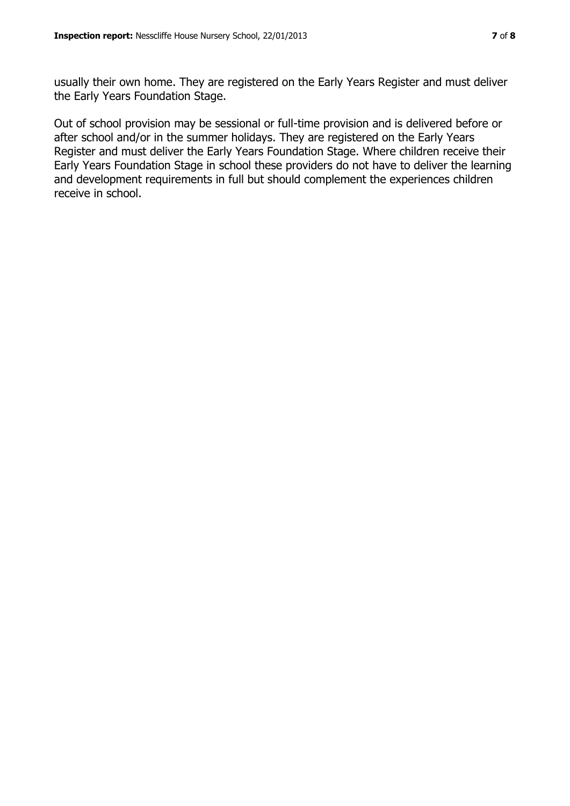usually their own home. They are registered on the Early Years Register and must deliver the Early Years Foundation Stage.

Out of school provision may be sessional or full-time provision and is delivered before or after school and/or in the summer holidays. They are registered on the Early Years Register and must deliver the Early Years Foundation Stage. Where children receive their Early Years Foundation Stage in school these providers do not have to deliver the learning and development requirements in full but should complement the experiences children receive in school.